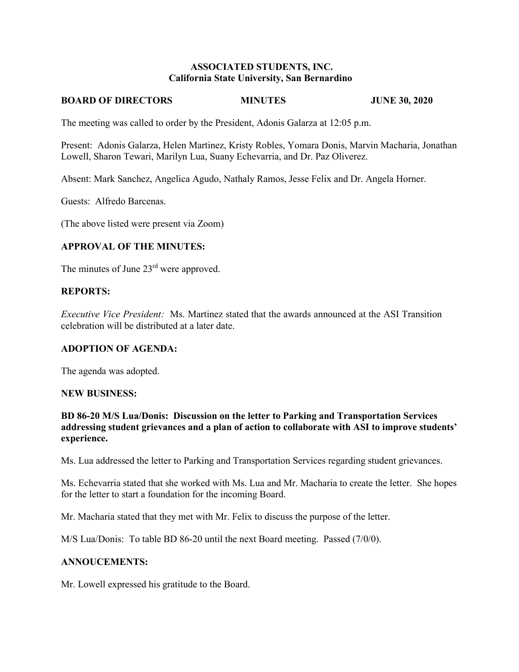### **ASSOCIATED STUDENTS, INC. California State University, San Bernardino**

#### **BOARD OF DIRECTORS MINUTES JUNE 30, 2020**

The meeting was called to order by the President, Adonis Galarza at 12:05 p.m.

Present: Adonis Galarza, Helen Martinez, Kristy Robles, Yomara Donis, Marvin Macharia, Jonathan Lowell, Sharon Tewari, Marilyn Lua, Suany Echevarria, and Dr. Paz Oliverez.

Absent: Mark Sanchez, Angelica Agudo, Nathaly Ramos, Jesse Felix and Dr. Angela Horner.

Guests: Alfredo Barcenas.

(The above listed were present via Zoom)

## **APPROVAL OF THE MINUTES:**

The minutes of June 23<sup>rd</sup> were approved.

#### **REPORTS:**

*Executive Vice President:* Ms. Martinez stated that the awards announced at the ASI Transition celebration will be distributed at a later date.

#### **ADOPTION OF AGENDA:**

The agenda was adopted.

#### **NEW BUSINESS:**

**BD 86-20 M/S Lua/Donis: Discussion on the letter to Parking and Transportation Services addressing student grievances and a plan of action to collaborate with ASI to improve students' experience.** 

Ms. Lua addressed the letter to Parking and Transportation Services regarding student grievances.

Ms. Echevarria stated that she worked with Ms. Lua and Mr. Macharia to create the letter. She hopes for the letter to start a foundation for the incoming Board.

Mr. Macharia stated that they met with Mr. Felix to discuss the purpose of the letter.

M/S Lua/Donis: To table BD 86-20 until the next Board meeting. Passed (7/0/0).

## **ANNOUCEMENTS:**

Mr. Lowell expressed his gratitude to the Board.